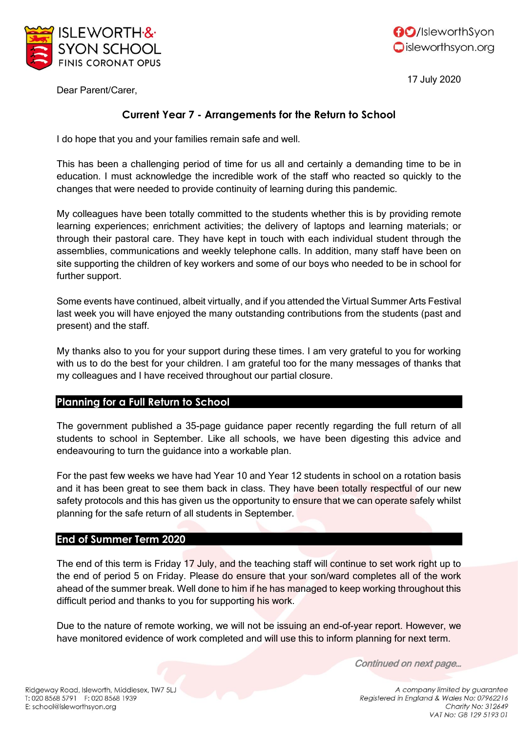



17 July 2020

Dear Parent/Carer,

# **Current Year 7 - Arrangements for the Return to School**

I do hope that you and your families remain safe and well.

This has been a challenging period of time for us all and certainly a demanding time to be in education. I must acknowledge the incredible work of the staff who reacted so quickly to the changes that were needed to provide continuity of learning during this pandemic.

My colleagues have been totally committed to the students whether this is by providing remote learning experiences; enrichment activities; the delivery of laptops and learning materials; or through their pastoral care. They have kept in touch with each individual student through the assemblies, communications and weekly telephone calls. In addition, many staff have been on site supporting the children of key workers and some of our boys who needed to be in school for further support.

Some events have continued, albeit virtually, and if you attended the Virtual Summer Arts Festival last week you will have enjoyed the many outstanding contributions from the students (past and present) and the staff.

My thanks also to you for your support during these times. I am very grateful to you for working with us to do the best for your children. I am grateful too for the many messages of thanks that my colleagues and I have received throughout our partial closure.

## **Planning for a Full Return to School**

The government published a 35-page guidance paper recently regarding the full return of all students to school in September. Like all schools, we have been digesting this advice and endeavouring to turn the guidance into a workable plan.

For the past few weeks we have had Year 10 and Year 12 students in school on a rotation basis and it has been great to see them back in class. They have been totally respectful of our new safety protocols and this has given us the opportunity to ensure that we can operate safely whilst planning for the safe return of all students in September.

#### **End of Summer Term 2020**

The end of this term is Friday 17 July, and the teaching staff will continue to set work right up to the end of period 5 on Friday. Please do ensure that your son/ward completes all of the work ahead of the summer break. Well done to him if he has managed to keep working throughout this difficult period and thanks to you for supporting his work.

Due to the nature of remote working, we will not be issuing an end-of-year report. However, we have monitored evidence of work completed and will use this to inform planning for next term.

Continued on next page…

Ridgeway Road, Isleworth, Middlesex, TW7 5LJ T: 020 8568 5791 F: 020 8568 1939 E: school@isleworthsyon.org

A company limited by guarantee Registered in England & Wales No: 07962216 Charity No: 312649 VAT No: GB 129 5193 01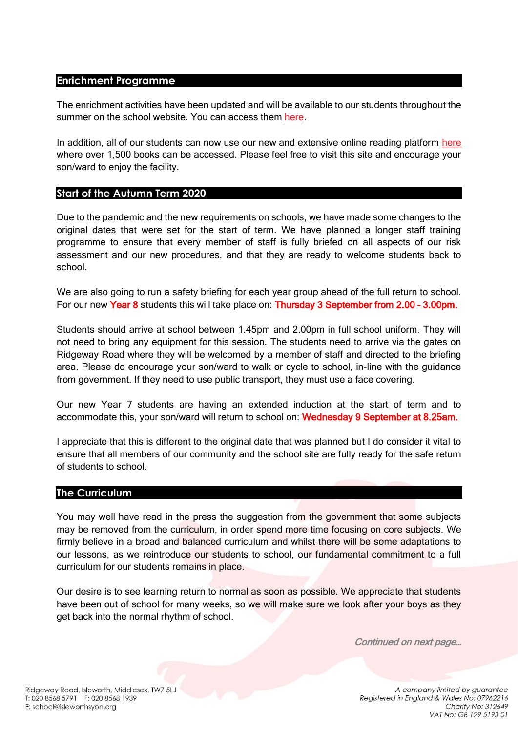## **Enrichment Programme**

The enrichment activities have been updated and will be available to our students throughout the summer on the school website. You can access them [here.](https://www.isleworthsyon.org/enrichment/)

In addition, all of our students can now use our new and extensive online reading platform [here](https://isleworthsyon.eplatform.co/) where over 1,500 books can be accessed. Please feel free to visit this site and encourage your son/ward to enjoy the facility.

# **Start of the Autumn Term 2020**

Due to the pandemic and the new requirements on schools, we have made some changes to the original dates that were set for the start of term. We have planned a longer staff training programme to ensure that every member of staff is fully briefed on all aspects of our risk assessment and our new procedures, and that they are ready to welcome students back to school.

We are also going to run a safety briefing for each year group ahead of the full return to school. For our new Year 8 students this will take place on: Thursday 3 September from 2.00 - 3.00pm.

Students should arrive at school between 1.45pm and 2.00pm in full school uniform. They will not need to bring any equipment for this session. The students need to arrive via the gates on Ridgeway Road where they will be welcomed by a member of staff and directed to the briefing area. Please do encourage your son/ward to walk or cycle to school, in-line with the guidance from government. If they need to use public transport, they must use a face covering.

Our new Year 7 students are having an extended induction at the start of term and to accommodate this, your son/ward will return to school on: Wednesday 9 September at 8.25am.

I appreciate that this is different to the original date that was planned but I do consider it vital to ensure that all members of our community and the school site are fully ready for the safe return of students to school.

#### **The Curriculum**

You may well have read in the press the suggestion from the government that some subjects may be removed from the curriculum, in order spend more time focusing on core subjects. We firmly believe in a broad and balanced curriculum and whilst there will be some adaptations to our lessons, as we reintroduce our students to school, our fundamental commitment to a full curriculum for our students remains in place.

Our desire is to see learning return to normal as soon as possible. We appreciate that students have been out of school for many weeks, so we will make sure we look after your boys as they get back into the normal rhythm of school.

Continued on next page…

Ridgeway Road, Isleworth, Middlesex, TW7 5LJ T: 020 8568 5791 F: 020 8568 1939 E: school@isleworthsyon.org

A company limited by guarantee Registered in England & Wales No: 07962216 Charity No: 312649 VAT No: GB 129 5193 01